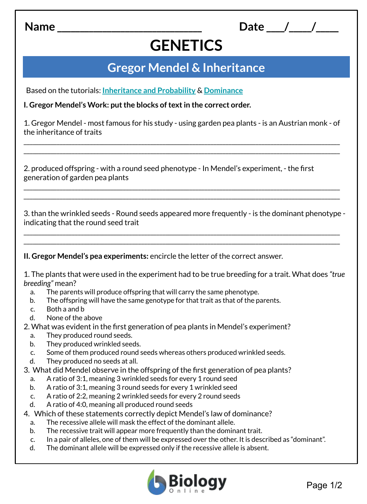**Name \_\_\_\_\_\_\_\_\_\_\_\_\_\_\_\_\_\_\_\_\_\_\_\_\_\_\_\_\_\_\_\_**

## **GENETICS**

**Date** / /

## **Gregor Mendel & Inheritance**

Based on the tutorials: **[Inheritance and Probability](https://www.biologyonline.com/tutorials/crossing-over-and-genetic-diversity)** & **[Dominance](https://www.biologyonline.com/tutorials/dominance-and-crossing-over)**

**I. Gregor Mendel's Work: put the blocks of text in the correct order.**

1. Gregor Mendel - most famous for his study - using garden pea plants - is an Austrian monk - of the inheritance of traits

\_\_\_\_\_\_\_\_\_\_\_\_\_\_\_\_\_\_\_\_\_\_\_\_\_\_\_\_\_\_\_\_\_\_\_\_\_\_\_\_\_\_\_\_\_\_\_\_\_\_\_\_\_\_\_\_\_\_\_\_\_\_\_\_\_\_\_\_\_\_\_\_\_\_\_\_\_\_\_\_\_\_\_\_\_\_\_\_\_\_\_\_\_\_\_\_\_\_\_\_\_\_\_\_\_ \_\_\_\_\_\_\_\_\_\_\_\_\_\_\_\_\_\_\_\_\_\_\_\_\_\_\_\_\_\_\_\_\_\_\_\_\_\_\_\_\_\_\_\_\_\_\_\_\_\_\_\_\_\_\_\_\_\_\_\_\_\_\_\_\_\_\_\_\_\_\_\_\_\_\_\_\_\_\_\_\_\_\_\_\_\_\_\_\_\_\_\_\_\_\_\_\_\_\_\_\_\_\_\_\_

2. produced offspring - with a round seed phenotype - In Mendel's experiment, - the first generation of garden pea plants

3. than the wrinkled seeds - Round seeds appeared more frequently - is the dominant phenotype indicating that the round seed trait

\_\_\_\_\_\_\_\_\_\_\_\_\_\_\_\_\_\_\_\_\_\_\_\_\_\_\_\_\_\_\_\_\_\_\_\_\_\_\_\_\_\_\_\_\_\_\_\_\_\_\_\_\_\_\_\_\_\_\_\_\_\_\_\_\_\_\_\_\_\_\_\_\_\_\_\_\_\_\_\_\_\_\_\_\_\_\_\_\_\_\_\_\_\_\_\_\_\_\_\_\_\_\_\_\_ \_\_\_\_\_\_\_\_\_\_\_\_\_\_\_\_\_\_\_\_\_\_\_\_\_\_\_\_\_\_\_\_\_\_\_\_\_\_\_\_\_\_\_\_\_\_\_\_\_\_\_\_\_\_\_\_\_\_\_\_\_\_\_\_\_\_\_\_\_\_\_\_\_\_\_\_\_\_\_\_\_\_\_\_\_\_\_\_\_\_\_\_\_\_\_\_\_\_\_\_\_\_\_\_\_

\_\_\_\_\_\_\_\_\_\_\_\_\_\_\_\_\_\_\_\_\_\_\_\_\_\_\_\_\_\_\_\_\_\_\_\_\_\_\_\_\_\_\_\_\_\_\_\_\_\_\_\_\_\_\_\_\_\_\_\_\_\_\_\_\_\_\_\_\_\_\_\_\_\_\_\_\_\_\_\_\_\_\_\_\_\_\_\_\_\_\_\_\_\_\_\_\_\_\_\_\_\_\_\_\_ \_\_\_\_\_\_\_\_\_\_\_\_\_\_\_\_\_\_\_\_\_\_\_\_\_\_\_\_\_\_\_\_\_\_\_\_\_\_\_\_\_\_\_\_\_\_\_\_\_\_\_\_\_\_\_\_\_\_\_\_\_\_\_\_\_\_\_\_\_\_\_\_\_\_\_\_\_\_\_\_\_\_\_\_\_\_\_\_\_\_\_\_\_\_\_\_\_\_\_\_\_\_\_\_\_

**II. Gregor Mendel's pea experiments:** encircle the letter of the correct answer.

1. The plants that were used in the experiment had to be true breeding for a trait. What does *"true breeding"* mean?

- a. The parents will produce offspring that will carry the same phenotype.
- b. The offspring will have the same genotype for that trait as that of the parents.
- c. Both a and b
- d. None of the above

2. What was evident in the first generation of pea plants in Mendel's experiment?

- a. They produced round seeds.
- b. They produced wrinkled seeds.
- c. Some of them produced round seeds whereas others produced wrinkled seeds.
- d. They produced no seeds at all.
- 3. What did Mendel observe in the offspring of the first generation of pea plants?
	- a. A ratio of 3:1, meaning 3 wrinkled seeds for every 1 round seed
	- b. A ratio of 3:1, meaning 3 round seeds for every 1 wrinkled seed
	- c. A ratio of 2:2, meaning 2 wrinkled seeds for every 2 round seeds
	- d. A ratio of 4:0, meaning all produced round seeds
- 4. Which of these statements correctly depict Mendel's law of dominance?
	- a. The recessive allele will mask the effect of the dominant allele.
	- b. The recessive trait will appear more frequently than the dominant trait.
	- c. In a pair of alleles, one of them will be expressed over the other. It is described as "dominant".
	- d. The dominant allele will be expressed only if the recessive allele is absent.